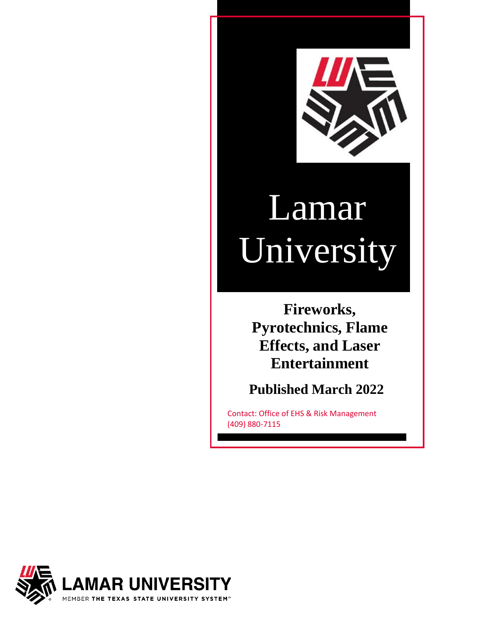

# Lamar University

**Fireworks, Pyrotechnics, Flame Effects, and Laser Entertainment**

**Published March 2022**

Contact: Office of EHS & Risk Management (409) 880-7115

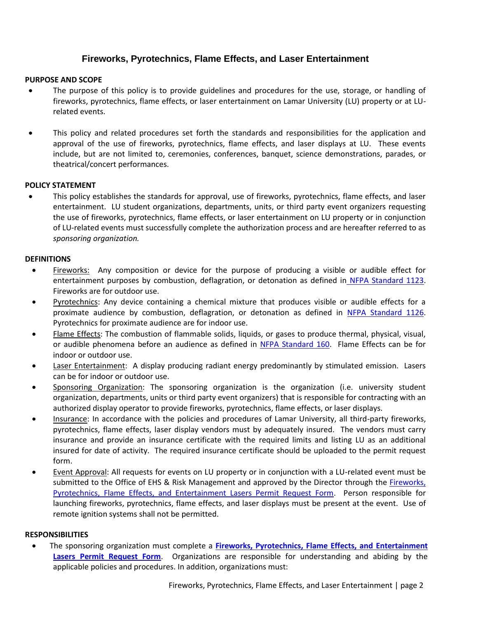# **Fireworks, Pyrotechnics, Flame Effects, and Laser Entertainment**

## **PURPOSE AND SCOPE**

- The purpose of this policy is to provide guidelines and procedures for the use, storage, or handling of fireworks, pyrotechnics, flame effects, or laser entertainment on Lamar University (LU) property or at LUrelated events.
- This policy and related procedures set forth the standards and responsibilities for the application and approval of the use of fireworks, pyrotechnics, flame effects, and laser displays at LU. These events include, but are not limited to, ceremonies, conferences, banquet, science demonstrations, parades, or theatrical/concert performances.

### **POLICY STATEMENT**

• This policy establishes the standards for approval, use of fireworks, pyrotechnics, flame effects, and laser entertainment. LU student organizations, departments, units, or third party event organizers requesting the use of fireworks, pyrotechnics, flame effects, or laser entertainment on LU property or in conjunction of LU-related events must successfully complete the authorization process and are hereafter referred to as *sponsoring organization.*

### **DEFINITIONS**

- Fireworks: Any composition or device for the purpose of producing a visible or audible effect for entertainment purposes by combustion, deflagration, or detonation as defined in [NFPA Standard 1123.](https://www.nfpa.org/codes-and-standards/all-codes-and-standards/list-of-codes-and-standards/detail?code=1123) Fireworks are for outdoor use.
- Pyrotechnics: Any device containing a chemical mixture that produces visible or audible effects for a proximate audience by combustion, deflagration, or detonation as defined in [NFPA Standard 1126.](https://www.nfpa.org/codes-and-standards/all-codes-and-standards/list-of-codes-and-standards/detail?code=1126) Pyrotechnics for proximate audience are for indoor use.
- Flame Effects: The combustion of flammable solids, liquids, or gases to produce thermal, physical, visual, or audible phenomena before an audience as defined in [NFPA Standard 160.](https://www.nfpa.org/codes-and-standards/all-codes-and-standards/list-of-codes-and-standards/detail?code=160) Flame Effects can be for indoor or outdoor use.
- Laser Entertainment: A display producing radiant energy predominantly by stimulated emission. Lasers can be for indoor or outdoor use.
- Sponsoring Organization: The sponsoring organization is the organization (i.e. university student organization, departments, units or third party event organizers) that is responsible for contracting with an authorized display operator to provide fireworks, pyrotechnics, flame effects, or laser displays.
- Insurance: In accordance with the policies and procedures of Lamar University, all third-party fireworks, pyrotechnics, flame effects, laser display vendors must by adequately insured. The vendors must carry insurance and provide an insurance certificate with the required limits and listing LU as an additional insured for date of activity. The required insurance certificate should be uploaded to the permit request form.
- Event Approval: All requests for events on LU property or in conjunction with a LU-related event must be submitted to the Office of EHS & Risk Management and approved by the Director through the [Fireworks,](https://lamar.campusoptics.com/pr/fireworks-flame-effects-lasers)  [Pyrotechnics, Flame Effects, and Entertainment Lasers Permit Request Form.](https://lamar.campusoptics.com/pr/fireworks-flame-effects-lasers) Person responsible for launching fireworks, pyrotechnics, flame effects, and laser displays must be present at the event. Use of remote ignition systems shall not be permitted.

#### **RESPONSIBILITIES**

• The sponsoring organization must complete a **[Fireworks, Pyrotechnics, Flame Effects, and Entertainment](https://lamar.campusoptics.com/pr/fireworks-flame-effects-lasers)  Lasers [Permit Request Form](https://lamar.campusoptics.com/pr/fireworks-flame-effects-lasers)**. Organizations are responsible for understanding and abiding by the applicable policies and procedures. In addition, organizations must: